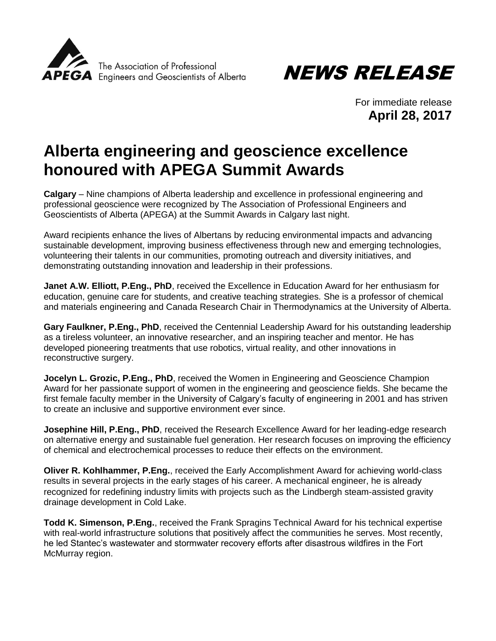



For immediate release **April 28, 2017**

## **Alberta engineering and geoscience excellence honoured with APEGA Summit Awards**

**Calgary** – Nine champions of Alberta leadership and excellence in professional engineering and professional geoscience were recognized by The Association of Professional Engineers and Geoscientists of Alberta (APEGA) at the Summit Awards in Calgary last night.

Award recipients enhance the lives of Albertans by reducing environmental impacts and advancing sustainable development, improving business effectiveness through new and emerging technologies, volunteering their talents in our communities, promoting outreach and diversity initiatives, and demonstrating outstanding innovation and leadership in their professions.

**Janet A.W. Elliott, P.Eng., PhD**, received the Excellence in Education Award for her enthusiasm for education, genuine care for students, and creative teaching strategies. She is a professor of chemical and materials engineering and Canada Research Chair in Thermodynamics at the University of Alberta.

**Gary Faulkner, P.Eng., PhD**, received the Centennial Leadership Award for his outstanding leadership as a tireless volunteer, an innovative researcher, and an inspiring teacher and mentor. He has developed pioneering treatments that use robotics, virtual reality, and other innovations in reconstructive surgery.

**Jocelyn L. Grozic, P.Eng., PhD**, received the Women in Engineering and Geoscience Champion Award for her passionate support of women in the engineering and geoscience fields. She became the first female faculty member in the University of Calgary's faculty of engineering in 2001 and has striven to create an inclusive and supportive environment ever since.

**Josephine Hill, P.Eng., PhD**, received the Research Excellence Award for her leading-edge research on alternative energy and sustainable fuel generation. Her research focuses on improving the efficiency of chemical and electrochemical processes to reduce their effects on the environment.

**Oliver R. Kohlhammer, P.Eng.**, received the Early Accomplishment Award for achieving world-class results in several projects in the early stages of his career. A mechanical engineer, he is already recognized for redefining industry limits with projects such as the Lindbergh steam-assisted gravity drainage development in Cold Lake.

**Todd K. Simenson, P.Eng.**, received the Frank Spragins Technical Award for his technical expertise with real-world infrastructure solutions that positively affect the communities he serves. Most recently, he led Stantec's wastewater and stormwater recovery efforts after disastrous wildfires in the Fort McMurray region.